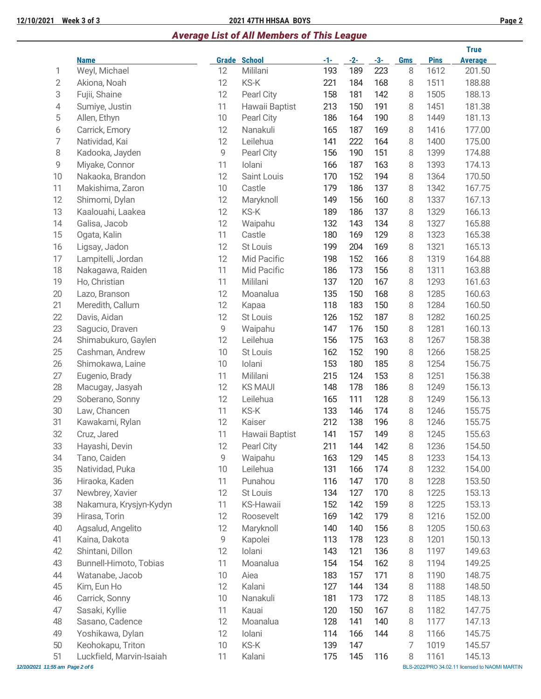## **12/10/2021 Week 3 of 3 2021 47TH HHSAA BOYS Page 2**

## *Average List of All Members of This League*

|                                 |                              |    |                                 |              |              |              |                 |                     | <b>True</b>                                    |
|---------------------------------|------------------------------|----|---------------------------------|--------------|--------------|--------------|-----------------|---------------------|------------------------------------------------|
| 1                               | <b>Name</b><br>Weyl, Michael | 12 | <b>Grade School</b><br>Mililani | $-1-$<br>193 | $-2-$<br>189 | $-3-$<br>223 | <b>Gms</b><br>8 | <b>Pins</b><br>1612 | <b>Average</b><br>201.50                       |
| 2                               | Akiona, Noah                 | 12 | KS-K                            | 221          | 184          | 168          | 8               | 1511                | 188.88                                         |
| 3                               | Fujii, Shaine                | 12 | Pearl City                      | 158          | 181          | 142          | 8               | 1505                | 188.13                                         |
| 4                               | Sumiye, Justin               | 11 | Hawaii Baptist                  | 213          | 150          | 191          | 8               | 1451                | 181.38                                         |
| 5                               | Allen, Ethyn                 | 10 | Pearl City                      | 186          | 164          | 190          | 8               | 1449                | 181.13                                         |
| 6                               | Carrick, Emory               | 12 | Nanakuli                        | 165          | 187          | 169          | 8               | 1416                | 177.00                                         |
| 7                               | Natividad, Kai               | 12 | Leilehua                        | 141          | 222          | 164          | 8               | 1400                | 175.00                                         |
| 8                               | Kadooka, Jayden              | 9  | Pearl City                      | 156          | 190          | 151          | 8               | 1399                | 174.88                                         |
| 9                               | Miyake, Connor               | 11 | Iolani                          | 166          | 187          | 163          | 8               | 1393                | 174.13                                         |
| 10                              | Nakaoka, Brandon             | 12 | Saint Louis                     | 170          | 152          | 194          | 8               | 1364                | 170.50                                         |
| 11                              | Makishima, Zaron             | 10 | Castle                          | 179          | 186          | 137          | 8               | 1342                | 167.75                                         |
| 12                              | Shimomi, Dylan               | 12 | Maryknoll                       | 149          | 156          | 160          | 8               | 1337                | 167.13                                         |
| 13                              | Kaalouahi, Laakea            | 12 | KS-K                            | 189          | 186          | 137          | 8               | 1329                | 166.13                                         |
| 14                              | Galisa, Jacob                | 12 | Waipahu                         | 132          | 143          | 134          | 8               | 1327                | 165.88                                         |
| 15                              | Ogata, Kalin                 | 11 | Castle                          | 180          | 169          | 129          | 8               | 1323                | 165.38                                         |
| 16                              | Ligsay, Jadon                | 12 | St Louis                        | 199          | 204          | 169          | 8               | 1321                | 165.13                                         |
| 17                              | Lampitelli, Jordan           | 12 | Mid Pacific                     | 198          | 152          | 166          | 8               | 1319                | 164.88                                         |
| 18                              | Nakagawa, Raiden             | 11 | Mid Pacific                     | 186          | 173          | 156          | 8               | 1311                | 163.88                                         |
| 19                              | Ho, Christian                | 11 | Mililani                        | 137          | 120          | 167          | 8               | 1293                | 161.63                                         |
| 20                              | Lazo, Branson                | 12 | Moanalua                        | 135          | 150          | 168          | 8               | 1285                | 160.63                                         |
| 21                              | Meredith, Callum             | 12 | Kapaa                           | 118          | 183          | 150          | 8               | 1284                | 160.50                                         |
| 22                              | Davis, Aidan                 | 12 | St Louis                        | 126          | 152          | 187          | 8               | 1282                | 160.25                                         |
| 23                              | Sagucio, Draven              | 9  | Waipahu                         | 147          | 176          | 150          | 8               | 1281                | 160.13                                         |
| 24                              | Shimabukuro, Gaylen          | 12 | Leilehua                        | 156          | 175          | 163          | 8               | 1267                | 158.38                                         |
| 25                              | Cashman, Andrew              | 10 | St Louis                        | 162          | 152          | 190          | 8               | 1266                | 158.25                                         |
| 26                              | Shimokawa, Laine             | 10 | Iolani                          | 153          | 180          | 185          | 8               | 1254                | 156.75                                         |
| 27                              | Eugenio, Brady               | 11 | Mililani                        | 215          | 124          | 153          | 8               | 1251                | 156.38                                         |
| 28                              | Macugay, Jasyah              | 12 | <b>KS MAUI</b>                  | 148          | 178          | 186          | 8               | 1249                | 156.13                                         |
| 29                              | Soberano, Sonny              | 12 | Leilehua                        | 165          | 111          | 128          | 8               | 1249                | 156.13                                         |
| 30                              | Law, Chancen                 | 11 | KS-K                            | 133          | 146          | 174          | 8               | 1246                | 155.75                                         |
| 31                              | Kawakami, Rylan              | 12 | Kaiser                          | 212          | 138          | 196          | 8               | 1246                | 155.75                                         |
| 32                              | Cruz, Jared                  | 11 | Hawaii Baptist                  | 141          | 157          | 149          | 8               | 1245                | 155.63                                         |
| 33                              | Hayashi, Devin               | 12 | Pearl City                      | 211          | 144          | 142          | 8               | 1236                | 154.50                                         |
| 34                              | Tano, Caiden                 | 9  | Waipahu                         | 163          | 129          | 145          | 8               | 1233                | 154.13                                         |
| 35                              | Natividad, Puka              | 10 | Leilehua                        | 131          | 166          | 174          | 8               | 1232                | 154.00                                         |
| 36                              | Hiraoka, Kaden               | 11 | Punahou                         | 116          | 147          | 170          | 8               | 1228                | 153.50                                         |
| 37                              | Newbrey, Xavier              | 12 | St Louis                        | 134          | 127          | 170          | 8               | 1225                | 153.13                                         |
| 38                              | Nakamura, Krysjyn-Kydyn      | 11 | <b>KS-Hawaii</b>                | 152          | 142          | 159          | 8               | 1225                | 153.13                                         |
| 39                              | Hirasa, Torin                | 12 | Roosevelt                       | 169          | 142          | 179          | 8               | 1216                | 152.00                                         |
| 40                              | Agsalud, Angelito            | 12 | Maryknoll                       | 140          | 140          | 156          | 8               | 1205                | 150.63                                         |
| 41                              | Kaina, Dakota                | 9  | Kapolei                         | 113          | 178          | 123          | 8               | 1201                | 150.13                                         |
| 42                              | Shintani, Dillon             | 12 | Iolani                          | 143          | 121          | 136          | 8               | 1197                | 149.63                                         |
| 43                              | Bunnell-Himoto, Tobias       | 11 | Moanalua                        | 154          | 154          | 162          | 8               | 1194                | 149.25                                         |
| 44                              | Watanabe, Jacob              | 10 | Aiea                            | 183          | 157          | 171          | 8               | 1190                | 148.75                                         |
| 45                              | Kim, Eun Ho                  | 12 | Kalani                          | 127          | 144          | 134          | 8               | 1188                | 148.50                                         |
| 46                              | Carrick, Sonny               | 10 | Nanakuli                        | 181          | 173          | 172          | 8               | 1185                | 148.13                                         |
| 47                              | Sasaki, Kyllie               | 11 | Kauai                           | 120          | 150          | 167          | 8               | 1182                | 147.75                                         |
| 48                              | Sasano, Cadence              | 12 | Moanalua                        | 128          | 141          | 140          | 8               | 1177                | 147.13                                         |
| 49                              | Yoshikawa, Dylan             | 12 | Iolani                          | 114          | 166          | 144          | 8               | 1166                | 145.75                                         |
| 50                              | Keohokapu, Triton            | 10 | KS-K                            | 139          | 147          |              | 7               | 1019                | 145.57                                         |
| 51                              | Luckfield, Marvin-Isaiah     | 11 | Kalani                          | 175          | 145          | 116          | 8               | 1161                | 145.13                                         |
| 12/10/2021 11:55 am Page 2 of 6 |                              |    |                                 |              |              |              |                 |                     | BLS-2022/PRO 34.02.11 licensed to NAOMI MARTIN |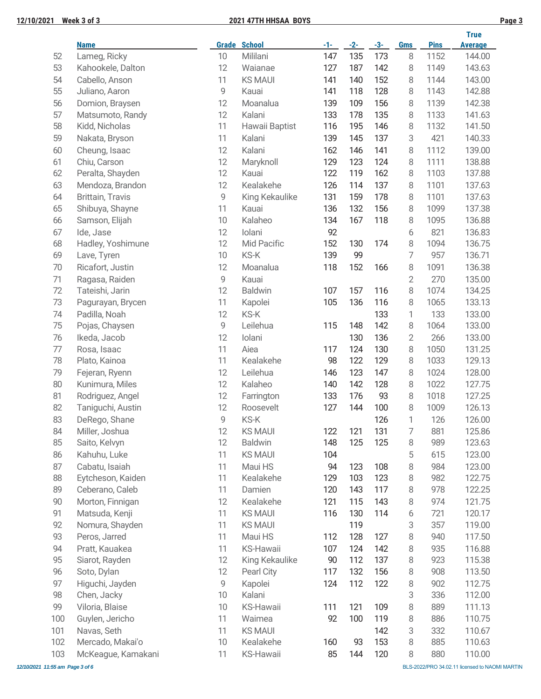|--|--|

|     |                    |    |                     |        |       |       |                |             | <b>True</b>    |
|-----|--------------------|----|---------------------|--------|-------|-------|----------------|-------------|----------------|
|     | <b>Name</b>        |    | <b>Grade School</b> | $-1-$  | $-2-$ | $-3-$ | <b>Gms</b>     | <b>Pins</b> | <b>Average</b> |
| 52  | Lameg, Ricky       | 10 | Mililani            | 147    | 135   | 173   | 8              | 1152        | 144.00         |
| 53  | Kahookele, Dalton  | 12 | Waianae             | 127    | 187   | 142   | 8              | 1149        | 143.63         |
| 54  | Cabello, Anson     | 11 | <b>KS MAUI</b>      | 141    | 140   | 152   | 8              | 1144        | 143.00         |
| 55  | Juliano, Aaron     | 9  | Kauai               | 141    | 118   | 128   | 8              | 1143        | 142.88         |
| 56  | Domion, Braysen    | 12 | Moanalua            | 139    | 109   | 156   | 8              | 1139        | 142.38         |
| 57  | Matsumoto, Randy   | 12 | Kalani              | 133    | 178   | 135   | 8              | 1133        | 141.63         |
| 58  | Kidd, Nicholas     | 11 | Hawaii Baptist      | 116    | 195   | 146   | 8              | 1132        | 141.50         |
| 59  | Nakata, Bryson     | 11 | Kalani              | 139    | 145   | 137   | 3              | 421         | 140.33         |
| 60  | Cheung, Isaac      | 12 | Kalani              | 162    | 146   | 141   | 8              | 1112        | 139.00         |
| 61  | Chiu, Carson       | 12 | Maryknoll           | 129    | 123   | 124   | 8              | 1111        | 138.88         |
| 62  | Peralta, Shayden   | 12 | Kauai               | 122    | 119   | 162   | 8              | 1103        | 137.88         |
| 63  | Mendoza, Brandon   | 12 | Kealakehe           | 126    | 114   | 137   | 8              | 1101        | 137.63         |
| 64  | Brittain, Travis   | 9  | King Kekaulike      | 131    | 159   | 178   | 8              | 1101        | 137.63         |
| 65  | Shibuya, Shayne    | 11 | Kauai               | 136    | 132   | 156   | 8              | 1099        | 137.38         |
| 66  | Samson, Elijah     | 10 | Kalaheo             | 134    | 167   | 118   | 8              | 1095        | 136.88         |
| 67  | Ide, Jase          | 12 | Iolani              | 92     |       |       | 6              | 821         | 136.83         |
| 68  | Hadley, Yoshimune  | 12 | Mid Pacific         | 152    | 130   | 174   | 8              | 1094        | 136.75         |
| 69  | Lave, Tyren        | 10 | KS-K                | 139    | 99    |       | 7              | 957         | 136.71         |
| 70  | Ricafort, Justin   | 12 | Moanalua            | 118    | 152   | 166   | 8              | 1091        | 136.38         |
| 71  | Ragasa, Raiden     | 9  | Kauai               |        |       |       | $\overline{2}$ | 270         | 135.00         |
| 72  | Tateishi, Jarin    | 12 | <b>Baldwin</b>      | 107    | 157   | 116   | 8              | 1074        | 134.25         |
| 73  |                    | 11 |                     | 105    | 136   | 116   |                | 1065        | 133.13         |
|     | Pagurayan, Brycen  |    | Kapolei             |        |       |       | 8              |             |                |
| 74  | Padilla, Noah      | 12 | KS-K                |        |       | 133   | 1              | 133         | 133.00         |
| 75  | Pojas, Chaysen     | 9  | Leilehua            | 115    | 148   | 142   | 8              | 1064        | 133.00         |
| 76  | Ikeda, Jacob       | 12 | Iolani              |        | 130   | 136   | $\overline{2}$ | 266         | 133.00         |
| 77  | Rosa, Isaac        | 11 | Aiea                | 117    | 124   | 130   | 8              | 1050        | 131.25         |
| 78  | Plato, Kainoa      | 11 | Kealakehe           | 98     | 122   | 129   | 8              | 1033        | 129.13         |
| 79  | Fejeran, Ryenn     | 12 | Leilehua            | 146    | 123   | 147   | 8              | 1024        | 128.00         |
| 80  | Kunimura, Miles    | 12 | Kalaheo             | 140    | 142   | 128   | 8              | 1022        | 127.75         |
| 81  | Rodriguez, Angel   | 12 | Farrington          | 133    | 176   | 93    | 8              | 1018        | 127.25         |
| 82  | Taniguchi, Austin  | 12 | Roosevelt           | 127    | 144   | 100   | 8              | 1009        | 126.13         |
| 83  | DeRego, Shane      | 9  | KS-K                |        |       | 126   | 1              | 126         | 126.00         |
| 84  | Miller, Joshua     | 12 | <b>KS MAUI</b>      | 122    | 121   | 131   | 7              | 881         | 125.86         |
| 85  | Saito, Kelvyn      | 12 | <b>Baldwin</b>      | 148    | 125   | 125   | 8              | 989         | 123.63         |
| 86  | Kahuhu, Luke       | 11 | <b>KS MAUI</b>      | 104    |       |       | 5              | 615         | 123.00         |
| 87  | Cabatu, Isaiah     | 11 | Maui HS             | 94     | 123   | 108   | 8              | 984         | 123.00         |
| 88  | Eytcheson, Kaiden  | 11 | Kealakehe           | 129    | 103   | 123   | 8              | 982         | 122.75         |
| 89  | Ceberano, Caleb    | 11 | Damien              | 120    | 143   | 117   | 8              | 978         | 122.25         |
| 90  | Morton, Finnigan   | 12 | Kealakehe           | 121    | 115   | 143   | 8              | 974         | 121.75         |
| 91  | Matsuda, Kenji     | 11 | <b>KS MAUI</b>      | 116    | 130   | 114   | 6              | 721         | 120.17         |
| 92  | Nomura, Shayden    | 11 | <b>KS MAUI</b>      |        | 119   |       | 3              | 357         | 119.00         |
| 93  | Peros, Jarred      | 11 | Maui HS             | 112    | 128   | 127   | 8              | 940         | 117.50         |
| 94  | Pratt, Kauakea     | 11 | KS-Hawaii           | 107    | 124   | 142   | 8              | 935         | 116.88         |
| 95  | Siarot, Rayden     | 12 | King Kekaulike      | $90\,$ | 112   | 137   | 8              | 923         | 115.38         |
| 96  | Soto, Dylan        | 12 | Pearl City          | 117    | 132   | 156   | 8              | 908         | 113.50         |
| 97  | Higuchi, Jayden    | 9  | Kapolei             | 124    | 112   | 122   | 8              | 902         | 112.75         |
| 98  | Chen, Jacky        | 10 | Kalani              |        |       |       | 3              | 336         | 112.00         |
| 99  |                    |    |                     |        | 121   |       |                |             |                |
|     | Viloria, Blaise    | 10 | KS-Hawaii           | 111    |       | 109   | 8              | 889         | 111.13         |
| 100 | Guylen, Jericho    | 11 | Waimea              | 92     | 100   | 119   | 8              | 886         | 110.75         |
| 101 | Navas, Seth        | 11 | <b>KS MAUI</b>      |        |       | 142   | 3              | 332         | 110.67         |
| 102 | Mercado, Makai'o   | 10 | Kealakehe           | 160    | 93    | 153   | 8              | 885         | 110.63         |
| 103 | McKeague, Kamakani | 11 | KS-Hawaii           | 85     | 144   | 120   | 8              | 880         | 110.00         |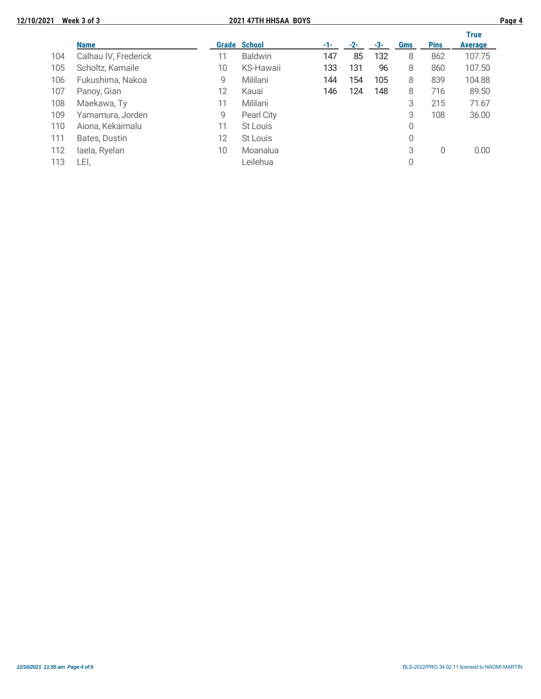|     |                      |    |                     |     |       |     |     |             | <b>True</b>    |
|-----|----------------------|----|---------------------|-----|-------|-----|-----|-------------|----------------|
|     | <b>Name</b>          |    | <b>Grade School</b> | -1- | $-2-$ | -3- | Gms | <b>Pins</b> | <b>Average</b> |
| 104 | Calhau IV, Frederick | 11 | <b>Baldwin</b>      | 147 | 85    | 132 | 8   | 862         | 107.75         |
| 105 | Scholtz, Kamaile     | 10 | <b>KS-Hawaii</b>    | 133 | 131   | 96  | 8   | 860         | 107.50         |
| 106 | Fukushima, Nakoa     | 9  | Mililani            | 144 | 154   | 105 | 8   | 839         | 104.88         |
| 107 | Panoy, Gian          | 12 | Kauai               | 146 | 124   | 148 | 8   | 716         | 89.50          |
| 108 | Maekawa, Ty          | 11 | Mililani            |     |       |     | 3   | 215         | 71.67          |
| 109 | Yamamura, Jorden     | 9  | Pearl City          |     |       |     | 3   | 108         | 36.00          |
| 110 | Aiona, Kekaimalu     | 11 | St Louis            |     |       |     | 0   |             |                |
| 111 | Bates, Dustin        | 12 | St Louis            |     |       |     | 0   |             |                |
| 112 | laela, Ryelan        | 10 | Moanalua            |     |       |     | 3   | 0           | 0.00           |
| 113 | LEI.                 |    | Leilehua            |     |       |     | 0   |             |                |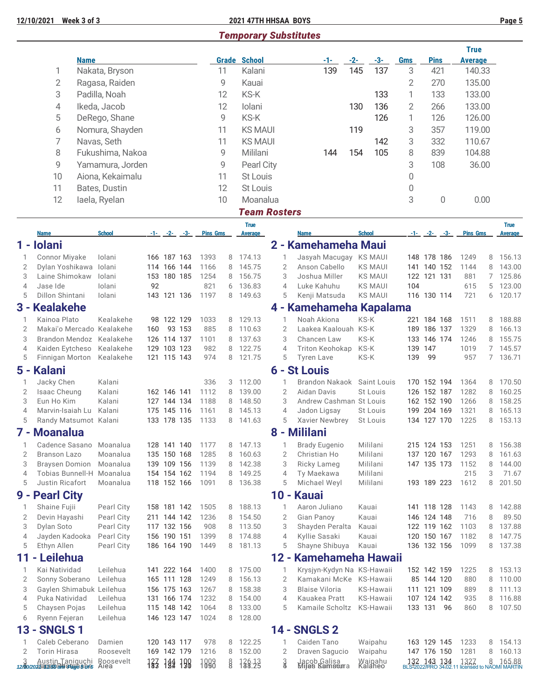$3$ 

## *Temporary Substitutes*

|                     |                                                    |             |                        |     |                            |        |                   |        |                               |                     |                                         |              |                        |                 |                            |         | <b>True</b>                                                                 |                |                    |
|---------------------|----------------------------------------------------|-------------|------------------------|-----|----------------------------|--------|-------------------|--------|-------------------------------|---------------------|-----------------------------------------|--------------|------------------------|-----------------|----------------------------|---------|-----------------------------------------------------------------------------|----------------|--------------------|
|                     | 1                                                  | <b>Name</b> | Nakata, Bryson         |     |                            |        | 11                |        | <b>Grade School</b><br>Kalani |                     | -1-<br>139                              | $-2-$<br>145 | $-3-$<br>137           | <b>Gms</b><br>3 | <b>Pins</b>                | 421     | <b>Average</b><br>140.33                                                    |                |                    |
|                     | $\overline{2}$                                     |             | Ragasa, Raiden         |     |                            |        | 9                 |        | Kauai                         |                     |                                         |              |                        | $\overline{2}$  |                            | 270     | 135.00                                                                      |                |                    |
|                     | 3                                                  |             | Padilla, Noah          |     |                            |        | 12                |        | KS-K                          |                     |                                         |              | 133                    | 1               |                            | 133     | 133.00                                                                      |                |                    |
|                     | 4                                                  |             | Ikeda, Jacob           |     |                            |        | 12                |        | Iolani                        |                     |                                         | 130          | 136                    | 2               |                            | 266     | 133.00                                                                      |                |                    |
|                     | 5                                                  |             | DeRego, Shane          |     |                            |        | 9                 |        | KS-K                          |                     |                                         |              | 126                    | 1               |                            | 126     | 126.00                                                                      |                |                    |
|                     | 6                                                  |             | Nomura, Shayden        |     |                            |        | 11                |        | <b>KS MAUI</b>                |                     |                                         | 119          |                        | 3               |                            | 357     | 119.00                                                                      |                |                    |
|                     | 7                                                  |             | Navas, Seth            |     |                            |        | 11                |        | <b>KS MAUI</b>                |                     |                                         |              | 142                    | 3               |                            | 332     | 110.67                                                                      |                |                    |
|                     | 8                                                  |             | Fukushima, Nakoa       |     |                            |        | 9                 |        | Mililani                      |                     | 144                                     | 154          | 105                    | 8               |                            | 839     | 104.88                                                                      |                |                    |
|                     | 9                                                  |             | Yamamura, Jorden       |     |                            |        | 9                 |        | Pearl City                    |                     |                                         |              |                        | 3               |                            | 108     | 36.00                                                                       |                |                    |
|                     | 10                                                 |             | Aiona, Kekaimalu       |     |                            |        | 11                |        | St Louis                      |                     |                                         |              |                        | 0               |                            |         |                                                                             |                |                    |
|                     | 11                                                 |             | Bates, Dustin          |     |                            |        | 12                |        | St Louis                      |                     |                                         |              |                        | $\mathbf{0}$    |                            |         |                                                                             |                |                    |
|                     | 12                                                 |             | laela, Ryelan          |     |                            |        | 10                |        | Moanalua                      |                     |                                         |              |                        | 3               |                            | 0       | 0.00                                                                        |                |                    |
|                     |                                                    |             |                        |     |                            |        |                   |        | <b>Team Rosters</b>           |                     |                                         |              |                        |                 |                            |         |                                                                             |                |                    |
|                     |                                                    |             |                        |     |                            |        |                   |        | <b>True</b>                   |                     |                                         |              |                        |                 |                            |         |                                                                             |                | <b>True</b>        |
|                     | <b>Name</b>                                        |             | <b>School</b>          |     | $-1 - (-2 - (-3))$         |        | <b>Pins Gms</b>   |        | Average                       |                     | <b>Name</b>                             |              | <b>School</b>          |                 | $-1 - 2 - 3$               |         | <b>Pins Gms</b>                                                             |                | <b>Average</b>     |
|                     | 1 - Iolani                                         |             |                        |     |                            |        |                   |        |                               |                     | 2 - Kamehameha Maui                     |              |                        |                 |                            |         |                                                                             |                |                    |
| 1<br>$\overline{2}$ | Connor Miyake<br>Dylan Yoshikawa                   |             | Iolani<br>Iolani       |     | 166 187 163<br>114 166 144 |        | 1393<br>1166      | 8<br>8 | 174.13<br>145.75              | 1<br>$\overline{2}$ | Jasyah Macugay KS MAUI<br>Anson Cabello |              | <b>KS MAUI</b>         |                 | 148 178 186<br>141 140 152 |         | 1249<br>1144                                                                | 8<br>8         | 156.13<br>143.00   |
| 3                   | Laine Shimokaw                                     |             | lolani                 |     | 153 180 185                |        | 1254              | 8      | 156.75                        | 3                   | Joshua Miller                           |              | <b>KS MAUI</b>         |                 | 122 121 131                |         | 881                                                                         | $\overline{7}$ | 125.86             |
| $\overline{4}$      | Jase Ide                                           |             | lolani                 | 92  |                            |        | 821               | 6      | 136.83                        | $\overline{4}$      | Luke Kahuhu                             |              | <b>KS MAUI</b>         | 104             |                            |         | 615                                                                         | 5              | 123.00             |
| 5                   | Dillon Shintani                                    |             | Iolani                 |     | 143 121 136                |        | 1197              | 8      | 149.63                        | 5                   | Kenji Matsuda                           |              | <b>KS MAUI</b>         |                 | 116 130 114                |         | 721                                                                         | 6              | 120.17             |
|                     | 3 - Kealakehe                                      |             |                        |     |                            |        |                   |        |                               |                     | 4 - Kamehameha Kapalama                 |              |                        |                 |                            |         |                                                                             |                |                    |
| 1                   | Kainoa Plato                                       |             | Kealakehe              |     | 98 122 129                 |        | 1033              | 8      | 129.13                        | $\mathbf{1}$        | Noah Akiona                             |              | KS-K                   |                 | 221 184 168                |         | 1511                                                                        | 8              | 188.88             |
| 2                   | Makai'o Mercado Kealakehe                          |             |                        | 160 |                            | 93 153 | 885               | 8      | 110.63                        | $\overline{2}$      | Laakea Kaalouah KS-K                    |              |                        | 189             | 186 137                    |         | 1329                                                                        | 8              | 166.13             |
| 3                   | Brandon Mendoz Kealakehe                           |             |                        |     | 126 114 137                |        | 1101              | 8      | 137.63                        | 3                   | Chancen Law                             |              | KS-K                   | 133             |                            | 146 174 | 1246                                                                        | 8              | 155.75             |
| $\overline{4}$<br>5 | Kaiden Eytcheso<br>Finnigan Morton                 |             | Kealakehe<br>Kealakehe |     | 129 103 123<br>121 115 143 |        | 982<br>974        | 8<br>8 | 122.75<br>121.75              | $\overline{4}$<br>5 | Triton Keohokap<br><b>Tyren Lave</b>    |              | KS-K<br>KS-K           | 139<br>139      | 147<br>99                  |         | 1019<br>957                                                                 | $\overline{7}$ | 145.57<br>7 136.71 |
|                     | 5 - Kalani                                         |             |                        |     |                            |        |                   |        |                               |                     | 6 - St Louis                            |              |                        |                 |                            |         |                                                                             |                |                    |
| 1                   | Jacky Chen                                         |             | Kalani                 |     |                            |        | 336               | 3      | 112.00                        |                     | <b>Brandon Nakaok</b>                   |              | Saint Louis            |                 | 170 152 194                |         | 1364                                                                        | 8              | 170.50             |
| $\overline{2}$      | Isaac Cheung                                       |             | Kalani                 |     | 162 146 141                |        | 1112              | 8      | 139.00                        | $\overline{2}$      | Aidan Davis                             |              | St Louis               |                 | 126 152 187                |         | 1282                                                                        | 8              | 160.25             |
| 3                   | Eun Ho Kim                                         |             | Kalani                 |     | 127 144 134                |        | 1188              | 8      | 148.50                        | 3                   | Andrew Cashman St Louis                 |              |                        |                 | 162 152 190                |         | 1266                                                                        | 8              | 158.25             |
| $\overline{4}$      | Marvin-Isaiah Lu Kalani                            |             |                        |     | 175 145 116                |        | 1161              | 8      | 145.13                        | $\overline{4}$      | Jadon Ligsay                            |              | St Louis               |                 | 199 204 169                |         | 1321                                                                        | 8              | 165.13             |
| 5                   | Randy Matsumot Kalani                              |             |                        |     | 133 178 135                |        | 1133              | 8      | 141.63                        | 5                   | Xavier Newbrey                          |              | St Louis               |                 | 134 127 170                |         | 1225                                                                        | 8              | 153.13             |
|                     | 7 - Moanalua                                       |             |                        |     |                            |        |                   |        |                               |                     | 8 - Mililani                            |              |                        |                 |                            |         |                                                                             |                |                    |
|                     | Cadence Sasano                                     |             | Moanalua               |     | 128 141 140                |        | 1177<br>8         |        | 147.13                        | $\mathbf{1}$        | <b>Brady Eugenio</b>                    |              | Mililani               |                 | 215 124 153                |         | 1251                                                                        | 8              | 156.38             |
| 2                   | <b>Branson Lazo</b>                                |             | Moanalua               |     | 135 150 168                |        | 1285<br>8         |        | 160.63                        | $\overline{2}$      | Christian Ho                            |              | Mililani               |                 | 137 120 167                |         | 1293                                                                        | 8              | 161.63             |
| 3<br>4              | <b>Braysen Domion</b><br>Tobias Bunnell-H Moanalua |             | Moanalua               |     | 139 109 156<br>154 154 162 |        | 1139<br>1194<br>8 | 8      | 142.38<br>149.25              | 3<br>$\overline{4}$ | Ricky Lameg<br>Ty Maekawa               |              | Mililani<br>Mililani   |                 | 147 135 173                |         | 1152<br>215                                                                 | 8<br>3         | 144.00<br>71.67    |
| 5                   | Justin Ricafort                                    |             | Moanalua               |     | 118 152 166                |        | 1091<br>8         |        | 136.38                        | 5                   | Michael Weyl                            |              | Mililani               |                 | 193 189 223                |         | 1612                                                                        | 8              | 201.50             |
| 9 -                 | <b>Pearl City</b>                                  |             |                        |     |                            |        |                   |        |                               | $10 -$              | <b>Kauai</b>                            |              |                        |                 |                            |         |                                                                             |                |                    |
| 1                   | Shaine Fujii                                       |             | Pearl City             |     | 158 181 142                |        | 1505<br>8         |        | 188.13                        | 1                   | Aaron Juliano                           |              | Kauai                  |                 | 141 118 128                |         | 1143                                                                        | 8              | 142.88             |
| 2                   | Devin Hayashi                                      |             | Pearl City             |     | 211 144 142                |        | 1236<br>8         |        | 154.50                        | $\overline{2}$      | Gian Panoy                              |              | Kauai                  |                 | 146 124 148                |         | 716                                                                         | 8              | 89.50              |
| 3                   | Dylan Soto                                         |             | Pearl City             |     | 117 132 156                |        | 908<br>8          |        | 113.50                        | 3                   | Shayden Peralta                         |              | Kauai                  |                 | 122 119 162                |         | 1103                                                                        | 8              | 137.88             |
| 4                   | Jayden Kadooka                                     |             | Pearl City             |     | 156 190 151                |        | 1399<br>8         |        | 174.88                        | $\overline{4}$      | Kyllie Sasaki                           |              | Kauai                  |                 | 120 150 167                |         | 1182                                                                        | 8              | 147.75             |
| 5                   | Ethyn Allen                                        |             | Pearl City             |     | 186 164 190                |        | 1449<br>8         |        | 181.13                        | 5                   | Shayne Shibuya                          |              | Kauai                  |                 | 136 132 156                |         | 1099                                                                        | 8              | 137.38             |
| 11                  | Leilehua<br>٠                                      |             |                        |     |                            |        |                   |        |                               | $12 -$              | Kamehameha Hawaii                       |              |                        |                 |                            |         |                                                                             |                |                    |
| 1                   | Kai Natividad                                      |             | Leilehua               |     | 141 222 164                |        | 1400              | 8      | 175.00                        | 1                   | Krysjyn-Kydyn Na KS-Hawaii              |              |                        |                 | 152 142 159                |         | 1225                                                                        | 8              | 153.13             |
| 2                   | Sonny Soberano                                     |             | Leilehua               |     | 165 111 128                |        | 1249<br>8<br>1267 |        | 156.13                        | $\overline{2}$<br>3 | Kamakani McKe<br><b>Blaise Viloria</b>  |              | KS-Hawaii              |                 | 85 144 120                 |         | 880                                                                         | 8              | 110.00             |
| 3<br>4              | Gaylen Shimabuk Leilehua<br>Puka Natividad         |             | Leilehua               |     | 156 175 163<br>131 166 174 |        | 8<br>1232<br>8    |        | 158.38<br>154.00              | $\overline{4}$      | Kauakea Pratt                           |              | KS-Hawaii<br>KS-Hawaii |                 | 111 121 109<br>107 124 142 |         | 889<br>935                                                                  | 8<br>8         | 111.13<br>116.88   |
| 5                   | Chaysen Pojas                                      |             | Leilehua               |     | 115 148 142                |        | 1064              | 8      | 133.00                        | 5                   | Kamaile Scholtz KS-Hawaii               |              |                        |                 | 133 131                    | 96      | 860                                                                         | 8              | 107.50             |
| 6                   | Ryenn Fejeran                                      |             | Leilehua               |     | 146 123 147                |        | 1024              | 8      | 128.00                        |                     |                                         |              |                        |                 |                            |         |                                                                             |                |                    |
| $13 -$              | <b>SNGLS1</b>                                      |             |                        |     |                            |        |                   |        |                               |                     | <b>14 - SNGLS 2</b>                     |              |                        |                 |                            |         |                                                                             |                |                    |
| 1                   | Caleb Ceberano                                     |             | Damien                 |     | 120 143 117                |        | 978               | 8      | 122.25                        | 1                   | Caiden Tano                             |              | Waipahu                |                 | 163 129 145                |         | 1233                                                                        | 8              | 154.13             |
| 2                   | <b>Torin Hirasa</b>                                |             | Roosevelt              |     | 169 142 179                |        | 1216              | 8      | 152.00                        | $\mathbf{2}$        | Draven Sagucio                          |              | Waipahu                |                 | 147 176 150                |         | 1281                                                                        | 8              | 160.13             |
|                     |                                                    |             |                        |     | 183 184 198                |        | 1898<br>8         |        | 726.13                        | $\frac{3}{8}$       | Jacob Galisa<br><b>Mijas Kamstur</b> a  |              | Waipahu<br>Kalaheo     |                 |                            |         | 132 143 134 1327 8 165.88<br>BLS:2022/RRO 34.02.11 licensed to NAOMI MARTIN |                |                    |